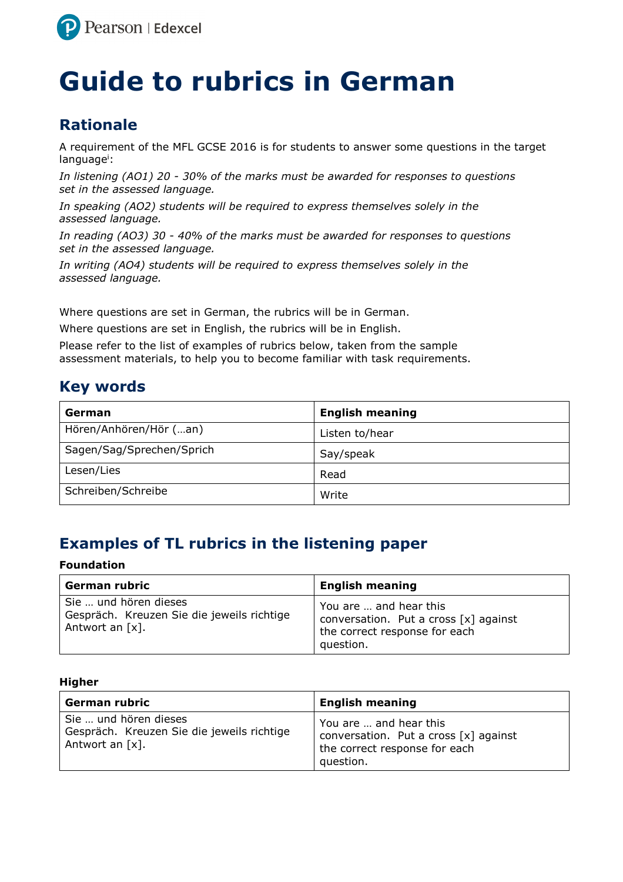

# **Guide to rubrics in German**

# **Rationale**

A requirement of the MFL GCSE 2016 is for students to answer some questions in the target language<sup>i</sup>:

*In listening (AO1) 20 - 30% of the marks must be awarded for responses to questions set in the assessed language.* 

*In speaking (AO2) students will be required to express themselves solely in the assessed language.* 

*In reading (AO3) 30 - 40% of the marks must be awarded for responses to questions set in the assessed language.* 

*In writing (AO4) students will be required to express themselves solely in the assessed language.* 

Where questions are set in German, the rubrics will be in German.

Where questions are set in English, the rubrics will be in English.

Please refer to the list of examples of rubrics below, taken from the sample assessment materials, to help you to become familiar with task requirements.

## **Key words**

| German                    | <b>English meaning</b> |
|---------------------------|------------------------|
| Hören/Anhören/Hör (an)    | Listen to/hear         |
| Sagen/Sag/Sprechen/Sprich | Say/speak              |
| Lesen/Lies                | Read                   |
| Schreiben/Schreibe        | Write                  |

# **Examples of TL rubrics in the listening paper**

### **Foundation**

| German rubric                                                                          | <b>English meaning</b>                                                                                          |
|----------------------------------------------------------------------------------------|-----------------------------------------------------------------------------------------------------------------|
| Sie  und hören dieses<br>Gespräch. Kreuzen Sie die jeweils richtige<br>Antwort an [x]. | You are  and hear this<br>conversation. Put a cross $[x]$ against<br>the correct response for each<br>question. |

| German rubric                                                                             | <b>English meaning</b>                                                                                          |
|-------------------------------------------------------------------------------------------|-----------------------------------------------------------------------------------------------------------------|
| Sie  und hören dieses<br>Gespräch. Kreuzen Sie die jeweils richtige<br>Antwort an $[x]$ . | You are  and hear this<br>conversation. Put a cross $[x]$ against<br>the correct response for each<br>question. |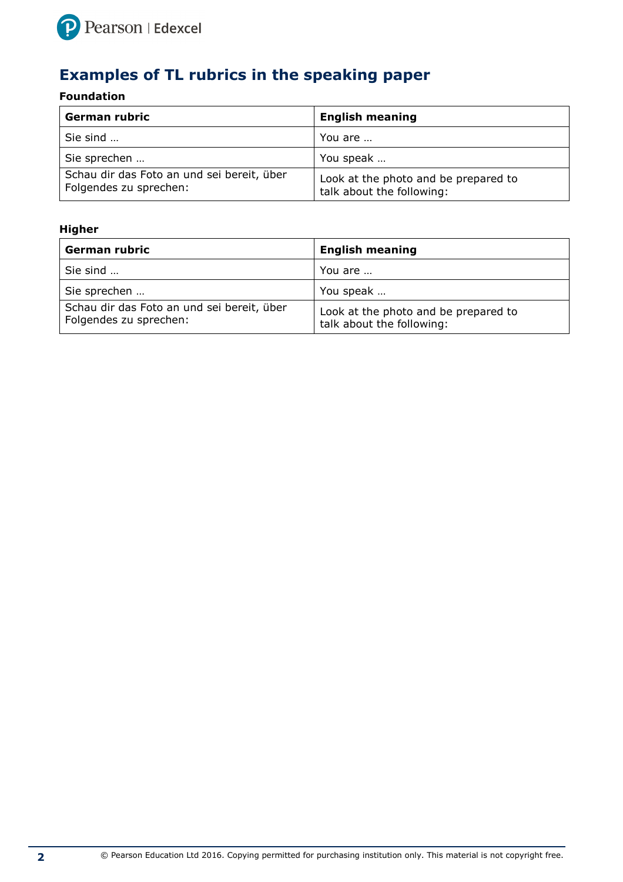

# **Examples of TL rubrics in the speaking paper**

## **Foundation**

| German rubric                                                        | <b>English meaning</b>                                            |
|----------------------------------------------------------------------|-------------------------------------------------------------------|
| Sie sind                                                             | You are                                                           |
| Sie sprechen                                                         | You speak                                                         |
| Schau dir das Foto an und sei bereit, über<br>Folgendes zu sprechen: | Look at the photo and be prepared to<br>talk about the following: |

| German rubric                                                        | <b>English meaning</b>                                            |
|----------------------------------------------------------------------|-------------------------------------------------------------------|
| Sie sind                                                             | You are                                                           |
| Sie sprechen                                                         | You speak                                                         |
| Schau dir das Foto an und sei bereit, über<br>Folgendes zu sprechen: | Look at the photo and be prepared to<br>talk about the following: |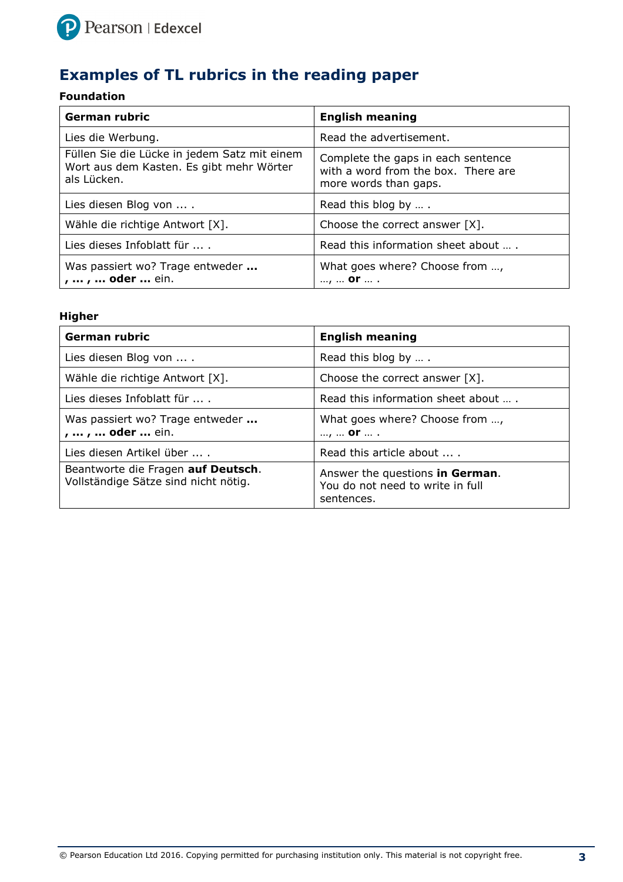

# **Examples of TL rubrics in the reading paper**

## **Foundation**

| <b>German rubric</b>                                                                                    | <b>English meaning</b>                                                                             |
|---------------------------------------------------------------------------------------------------------|----------------------------------------------------------------------------------------------------|
| Lies die Werbung.                                                                                       | Read the advertisement.                                                                            |
| Füllen Sie die Lücke in jedem Satz mit einem<br>Wort aus dem Kasten. Es gibt mehr Wörter<br>als Lücken. | Complete the gaps in each sentence<br>with a word from the box. There are<br>more words than gaps. |
| Lies diesen Blog von  .                                                                                 | Read this blog by                                                                                  |
| Wähle die richtige Antwort [X].                                                                         | Choose the correct answer $[X]$ .                                                                  |
| Lies dieses Infoblatt für                                                                               | Read this information sheet about  .                                                               |
| Was passiert wo? Trage entweder<br>,  ,  oder  ein.                                                     | What goes where? Choose from ,<br>, <b>Or</b> .                                                    |

| <b>German rubric</b>                                                       | <b>English meaning</b>                                                            |
|----------------------------------------------------------------------------|-----------------------------------------------------------------------------------|
| Lies diesen Blog von  .                                                    | Read this blog by                                                                 |
| Wähle die richtige Antwort [X].                                            | Choose the correct answer $[X]$ .                                                 |
| Lies dieses Infoblatt für  .                                               | Read this information sheet about                                                 |
| Was passiert wo? Trage entweder<br>,  ,  oder  ein.                        | What goes where? Choose from ,<br>, <b>or</b> .                                   |
| Lies diesen Artikel über  .                                                | Read this article about                                                           |
| Beantworte die Fragen auf Deutsch.<br>Vollständige Sätze sind nicht nötig. | Answer the questions in German.<br>You do not need to write in full<br>sentences. |